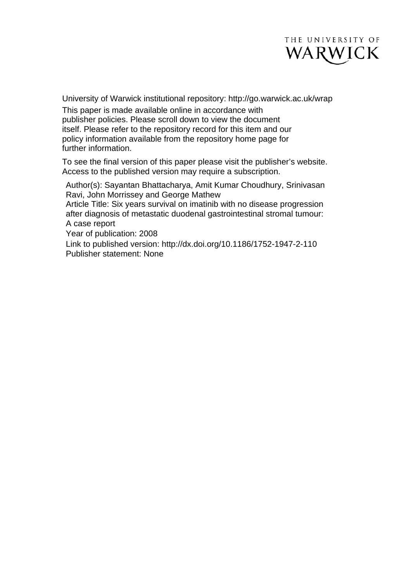

University of Warwick institutional repository: <http://go.warwick.ac.uk/wrap>

This paper is made available online in accordance with publisher policies. Please scroll down to view the document itself. Please refer to the repository record for this item and our policy information available from the repository home page for further information.

To see the final version of this paper please visit the publisher's website. Access to the published version may require a subscription.

Author(s): Sayantan Bhattacharya, Amit Kumar Choudhury, Srinivasan Ravi, John Morrissey and George Mathew

Article Title: Six years survival on imatinib with no disease progression after diagnosis of metastatic duodenal gastrointestinal stromal tumour: A case report

Year of publication: 2008

Link to published version:<http://dx.doi.org/>10.1186/1752-1947-2-110 Publisher statement: None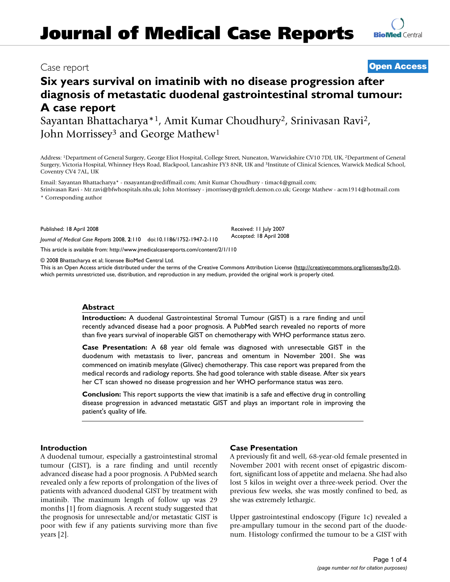# Case report **[Open Access](http://www.biomedcentral.com/info/about/charter/)**

**[BioMed](http://www.biomedcentral.com/)** Central

# **Six years survival on imatinib with no disease progression after diagnosis of metastatic duodenal gastrointestinal stromal tumour: A case report**

Sayantan Bhattacharya\*1, Amit Kumar Choudhury2, Srinivasan Ravi2, John Morrissey<sup>3</sup> and George Mathew<sup>1</sup>

Address: 1Department of General Surgery, George Eliot Hospital, College Street, Nuneaton, Warwickshire CV10 7DJ, UK, 2Department of General Surgery, Victoria Hospital, Whinney Heys Road, Blackpool, Lancashire FY3 8NR, UK and 3Institute of Clinical Sciences, Warwick Medical School, Coventry CV4 7AL, UK

Email: Sayantan Bhattacharya\* - rxsayantan@rediffmail.com; Amit Kumar Choudhury - timac4@gmail.com; Srinivasan Ravi - Mr.ravi@bfwhospitals.nhs.uk; John Morrissey - jmorrissey@grnleft.demon.co.uk; George Mathew - acm1914@hotmail.com \* Corresponding author

> Received: 11 July 2007 Accepted: 18 April 2008

Published: 18 April 2008

*Journal of Medical Case Reports* 2008, **2**:110 doi:10.1186/1752-1947-2-110

[This article is available from: http://www.jmedicalcasereports.com/content/2/1/110](http://www.jmedicalcasereports.com/content/2/1/110)

© 2008 Bhattacharya et al; licensee BioMed Central Ltd.

This is an Open Access article distributed under the terms of the Creative Commons Attribution License [\(http://creativecommons.org/licenses/by/2.0\)](http://creativecommons.org/licenses/by/2.0), which permits unrestricted use, distribution, and reproduction in any medium, provided the original work is properly cited.

# **Abstract**

**Introduction:** A duodenal Gastrointestinal Stromal Tumour (GIST) is a rare finding and until recently advanced disease had a poor prognosis. A PubMed search revealed no reports of more than five years survival of inoperable GIST on chemotherapy with WHO performance status zero.

**Case Presentation:** A 68 year old female was diagnosed with unresectable GIST in the duodenum with metastasis to liver, pancreas and omentum in November 2001. She was commenced on imatinib mesylate (Glivec) chemotherapy. This case report was prepared from the medical records and radiology reports. She had good tolerance with stable disease. After six years her CT scan showed no disease progression and her WHO performance status was zero.

**Conclusion:** This report supports the view that imatinib is a safe and effective drug in controlling disease progression in advanced metastatic GIST and plays an important role in improving the patient's quality of life.

# **Introduction**

A duodenal tumour, especially a gastrointestinal stromal tumour (GIST), is a rare finding and until recently advanced disease had a poor prognosis. A PubMed search revealed only a few reports of prolongation of the lives of patients with advanced duodenal GIST by treatment with imatinib. The maximum length of follow up was 29 months [1] from diagnosis. A recent study suggested that the prognosis for unresectable and/or metastatic GIST is poor with few if any patients surviving more than five years [2].

#### **Case Presentation**

A previously fit and well, 68-year-old female presented in November 2001 with recent onset of epigastric discomfort, significant loss of appetite and melaena. She had also lost 5 kilos in weight over a three-week period. Over the previous few weeks, she was mostly confined to bed, as she was extremely lethargic.

Upper gastrointestinal endoscopy (Figure 1c) revealed a pre-ampullary tumour in the second part of the duodenum. Histology confirmed the tumour to be a GIST with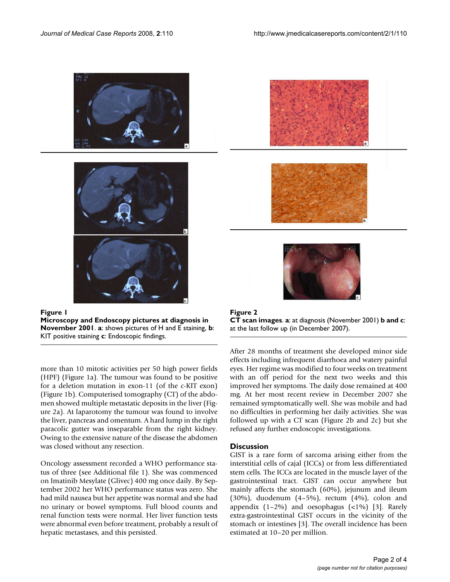





more than 10 mitotic activities per 50 high power fields (HPF) (Figure 1a). The tumour was found to be positive for a deletion mutation in exon-11 (of the c-KIT exon) (Figure 1b). Computerised tomography (CT) of the abdomen showed multiple metastatic deposits in the liver (Figure 2a). At laparotomy the tumour was found to involve the liver, pancreas and omentum. A hard lump in the right paracolic gutter was inseparable from the right kidney. Owing to the extensive nature of the disease the abdomen was closed without any resection.

Oncology assessment recorded a WHO performance status of three (see Additional file 1). She was commenced on Imatinib Mesylate (Glivec) 400 mg once daily. By September 2002 her WHO performance status was zero. She had mild nausea but her appetite was normal and she had no urinary or bowel symptoms. Full blood counts and renal function tests were normal. Her liver function tests were abnormal even before treatment, probably a result of hepatic metastases, and this persisted.





After 28 months of treatment she developed minor side effects including infrequent diarrhoea and watery painful eyes. Her regime was modified to four weeks on treatment with an off period for the next two weeks and this improved her symptoms. The daily dose remained at 400 mg. At her most recent review in December 2007 she remained symptomatically well. She was mobile and had no difficulties in performing her daily activities. She was followed up with a CT scan (Figure 2b and 2c) but she refused any further endoscopic investigations.

# **Discussion**

GIST is a rare form of sarcoma arising either from the interstitial cells of cajal (ICCs) or from less differentiated stem cells. The ICCs are located in the muscle layer of the gastrointestinal tract. GIST can occur anywhere but mainly affects the stomach (60%), jejunum and ileum (30%), duodenum (4–5%), rectum (4%), colon and appendix  $(1-2\%)$  and oesophagus  $(\langle 1\% \rangle)$  [3]. Rarely extra-gastrointestinal GIST occurs in the vicinity of the stomach or intestines [3]. The overall incidence has been estimated at 10–20 per million.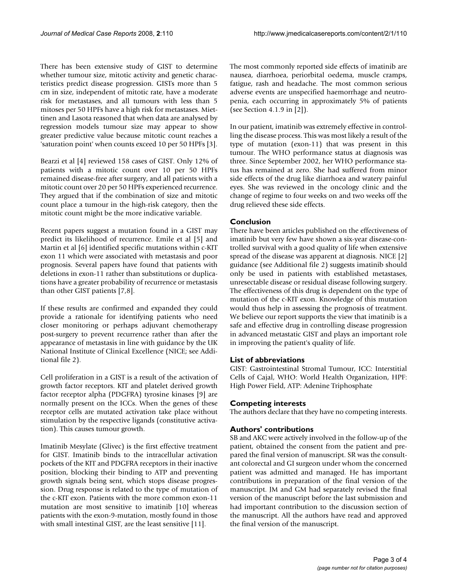There has been extensive study of GIST to determine whether tumour size, mitotic activity and genetic characteristics predict disease progression. GISTs more than 5 cm in size, independent of mitotic rate, have a moderate risk for metastases, and all tumours with less than 5 mitoses per 50 HPFs have a high risk for metastases. Miettinen and Lasota reasoned that when data are analysed by regression models tumour size may appear to show greater predictive value because mitotic count reaches a 'saturation point' when counts exceed 10 per 50 HPFs [3].

Bearzi et al [4] reviewed 158 cases of GIST. Only 12% of patients with a mitotic count over 10 per 50 HPFs remained disease-free after surgery, and all patients with a mitotic count over 20 per 50 HPFs experienced recurrence. They argued that if the combination of size and mitotic count place a tumour in the high-risk category, then the mitotic count might be the more indicative variable.

Recent papers suggest a mutation found in a GIST may predict its likelihood of recurrence. Emile et al [5] and Martin et al [6] identified specific mutations within c-KIT exon 11 which were associated with metastasis and poor prognosis. Several papers have found that patients with deletions in exon-11 rather than substitutions or duplications have a greater probability of recurrence or metastasis than other GIST patients [7,8].

If these results are confirmed and expanded they could provide a rationale for identifying patients who need closer monitoring or perhaps adjuvant chemotherapy post-surgery to prevent recurrence rather than after the appearance of metastasis in line with guidance by the UK National Institute of Clinical Excellence (NICE; see Additional file 2).

Cell proliferation in a GIST is a result of the activation of growth factor receptors. KIT and platelet derived growth factor receptor alpha (PDGFRA) tyrosine kinases [9] are normally present on the ICCs. When the genes of these receptor cells are mutated activation take place without stimulation by the respective ligands (constitutive activation). This causes tumour growth.

Imatinib Mesylate (Glivec) is the first effective treatment for GIST. Imatinib binds to the intracellular activation pockets of the KIT and PDGFRA receptors in their inactive position, blocking their binding to ATP and preventing growth signals being sent, which stops disease progression. Drug response is related to the type of mutation of the c-KIT exon. Patients with the more common exon-11 mutation are most sensitive to imatinib [10] whereas patients with the exon-9-mutation, mostly found in those with small intestinal GIST, are the least sensitive [11].

The most commonly reported side effects of imatinib are nausea, diarrhoea, periorbital oedema, muscle cramps, fatigue, rash and headache. The most common serious adverse events are unspecified haemorrhage and neutropenia, each occurring in approximately 5% of patients (see Section 4.1.9 in [2]).

In our patient, imatinib was extremely effective in controlling the disease process. This was most likely a result of the type of mutation (exon-11) that was present in this tumour. The WHO performance status at diagnosis was three. Since September 2002, her WHO performance status has remained at zero. She had suffered from minor side effects of the drug like diarrhoea and watery painful eyes. She was reviewed in the oncology clinic and the change of regime to four weeks on and two weeks off the drug relieved these side effects.

# **Conclusion**

There have been articles published on the effectiveness of imatinib but very few have shown a six-year disease-controlled survival with a good quality of life when extensive spread of the disease was apparent at diagnosis. NICE [2] guidance (see Additional file 2) suggests imatinib should only be used in patients with established metastases, unresectable disease or residual disease following surgery. The effectiveness of this drug is dependent on the type of mutation of the c-KIT exon. Knowledge of this mutation would thus help in assessing the prognosis of treatment. We believe our report supports the view that imatinib is a safe and effective drug in controlling disease progression in advanced metastatic GIST and plays an important role in improving the patient's quality of life.

# **List of abbreviations**

GIST: Gastrointestinal Stromal Tumour, ICC: Interstitial Cells of Cajal, WHO: World Health Organization, HPF: High Power Field, ATP: Adenine Triphosphate

# **Competing interests**

The authors declare that they have no competing interests.

# **Authors' contributions**

SB and AKC were actively involved in the follow-up of the patient, obtained the consent from the patient and prepared the final version of manuscript. SR was the consultant colorectal and GI surgeon under whom the concerned patient was admitted and managed. He has important contributions in preparation of the final version of the manuscript. JM and GM had separately revised the final version of the manuscript before the last submission and had important contribution to the discussion section of the manuscript. All the authors have read and approved the final version of the manuscript.